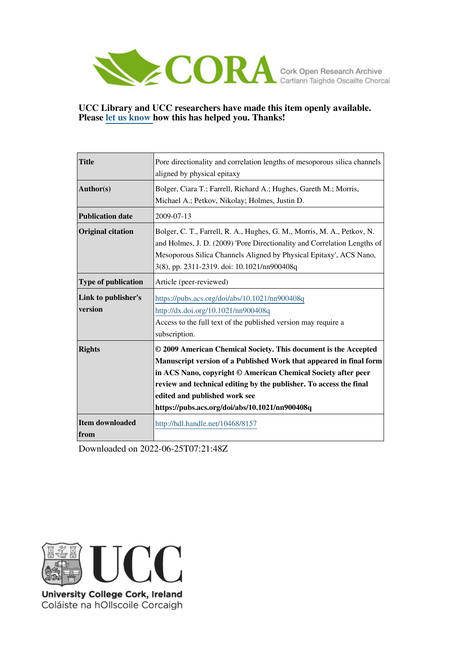

## **UCC Library and UCC researchers have made this item openly available. Please [let us know h](https://libguides.ucc.ie/openaccess/impact?suffix=8157&title=Pore directionality and correlation lengths of mesoporous silica channels aligned by physical epitaxy)ow this has helped you. Thanks!**

| <b>Title</b>               | Pore directionality and correlation lengths of mesoporous silica channels                                                                           |
|----------------------------|-----------------------------------------------------------------------------------------------------------------------------------------------------|
|                            | aligned by physical epitaxy                                                                                                                         |
| Author(s)                  | Bolger, Ciara T.; Farrell, Richard A.; Hughes, Gareth M.; Morris,                                                                                   |
|                            | Michael A.; Petkov, Nikolay; Holmes, Justin D.                                                                                                      |
| <b>Publication date</b>    | 2009-07-13                                                                                                                                          |
| <b>Original citation</b>   | Bolger, C. T., Farrell, R. A., Hughes, G. M., Morris, M. A., Petkov, N.<br>and Holmes, J. D. (2009) 'Pore Directionality and Correlation Lengths of |
|                            | Mesoporous Silica Channels Aligned by Physical Epitaxy', ACS Nano,                                                                                  |
|                            | 3(8), pp. 2311-2319. doi: 10.1021/nn900408q                                                                                                         |
| <b>Type of publication</b> | Article (peer-reviewed)                                                                                                                             |
| Link to publisher's        | https://pubs.acs.org/doi/abs/10.1021/nn900408q                                                                                                      |
| version                    | http://dx.doi.org/10.1021/nn900408q                                                                                                                 |
|                            | Access to the full text of the published version may require a                                                                                      |
|                            | subscription.                                                                                                                                       |
| <b>Rights</b>              | © 2009 American Chemical Society. This document is the Accepted                                                                                     |
|                            | Manuscript version of a Published Work that appeared in final form                                                                                  |
|                            | in ACS Nano, copyright © American Chemical Society after peer                                                                                       |
|                            | review and technical editing by the publisher. To access the final                                                                                  |
|                            | edited and published work see                                                                                                                       |
|                            | https://pubs.acs.org/doi/abs/10.1021/nn900408q                                                                                                      |
| Item downloaded            | http://hdl.handle.net/10468/8157                                                                                                                    |
| from                       |                                                                                                                                                     |

Downloaded on 2022-06-25T07:21:48Z



University College Cork, Ireland Coláiste na hOllscoile Corcaigh